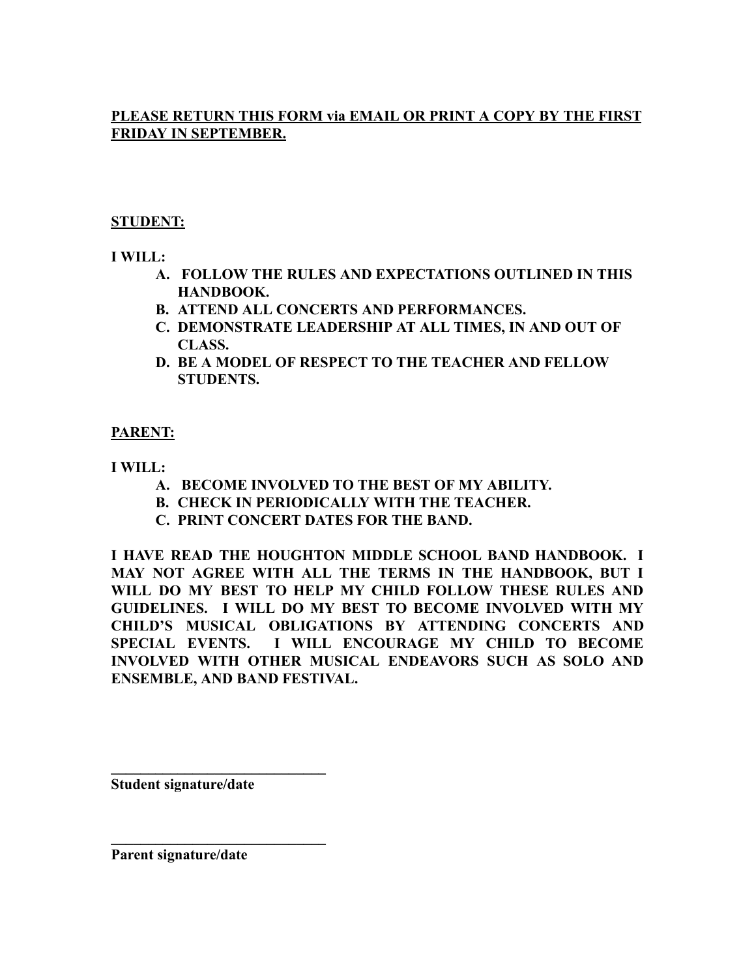#### **PLEASE RETURN THIS FORM via EMAIL OR PRINT A COPY BY THE FIRST FRIDAY IN SEPTEMBER.**

#### **STUDENT:**

**I WILL:**

- **A. FOLLOW THE RULES AND EXPECTATIONS OUTLINED IN THIS HANDBOOK.**
- **B. ATTEND ALL CONCERTS AND PERFORMANCES.**
- **C. DEMONSTRATE LEADERSHIP AT ALL TIMES, IN AND OUT OF CLASS.**
- **D. BE A MODEL OF RESPECT TO THE TEACHER AND FELLOW STUDENTS.**

#### **PARENT:**

**I WILL:**

- **A. BECOME INVOLVED TO THE BEST OF MY ABILITY.**
- **B. CHECK IN PERIODICALLY WITH THE TEACHER.**
- **C. PRINT CONCERT DATES FOR THE BAND.**

**I HAVE READ THE HOUGHTON MIDDLE SCHOOL BAND HANDBOOK. I MAY NOT AGREE WITH ALL THE TERMS IN THE HANDBOOK, BUT I WILL DO MY BEST TO HELP MY CHILD FOLLOW THESE RULES AND GUIDELINES. I WILL DO MY BEST TO BECOME INVOLVED WITH MY CHILD'S MUSICAL OBLIGATIONS BY ATTENDING CONCERTS AND SPECIAL EVENTS. I WILL ENCOURAGE MY CHILD TO BECOME INVOLVED WITH OTHER MUSICAL ENDEAVORS SUCH AS SOLO AND ENSEMBLE, AND BAND FESTIVAL.**

**Student signature/date**

**\_\_\_\_\_\_\_\_\_\_\_\_\_\_\_\_\_\_\_\_\_\_\_\_\_\_\_\_\_**

**\_\_\_\_\_\_\_\_\_\_\_\_\_\_\_\_\_\_\_\_\_\_\_\_\_\_\_\_\_**

**Parent signature/date**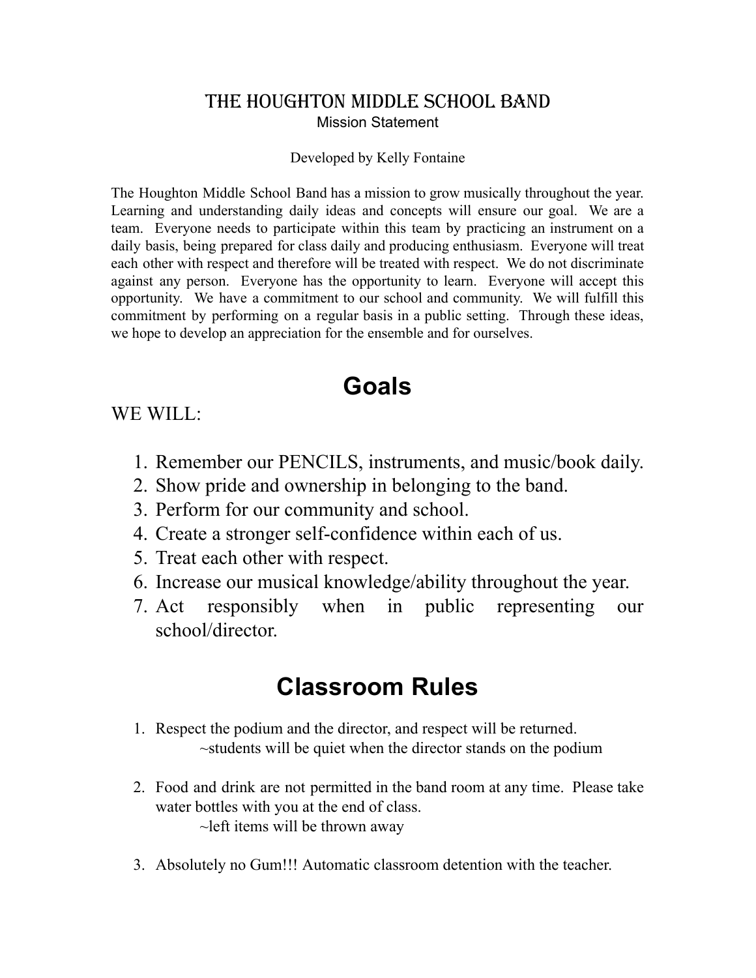#### The Houghton MIDDLE School Band Mission Statement

#### Developed by Kelly Fontaine

The Houghton Middle School Band has a mission to grow musically throughout the year. Learning and understanding daily ideas and concepts will ensure our goal. We are a team. Everyone needs to participate within this team by practicing an instrument on a daily basis, being prepared for class daily and producing enthusiasm. Everyone will treat each other with respect and therefore will be treated with respect. We do not discriminate against any person. Everyone has the opportunity to learn. Everyone will accept this opportunity. We have a commitment to our school and community. We will fulfill this commitment by performing on a regular basis in a public setting. Through these ideas, we hope to develop an appreciation for the ensemble and for ourselves.

# **Goals**

#### WE WILL:

- 1. Remember our PENCILS, instruments, and music/book daily.
- 2. Show pride and ownership in belonging to the band.
- 3. Perform for our community and school.
- 4. Create a stronger self-confidence within each of us.
- 5. Treat each other with respect.
- 6. Increase our musical knowledge/ability throughout the year.
- 7. Act responsibly when in public representing our school/director.

## **Classroom Rules**

- 1. Respect the podium and the director, and respect will be returned. ~students will be quiet when the director stands on the podium
- 2. Food and drink are not permitted in the band room at any time. Please take water bottles with you at the end of class.  $\sim$ left items will be thrown away
- 3. Absolutely no Gum!!! Automatic classroom detention with the teacher.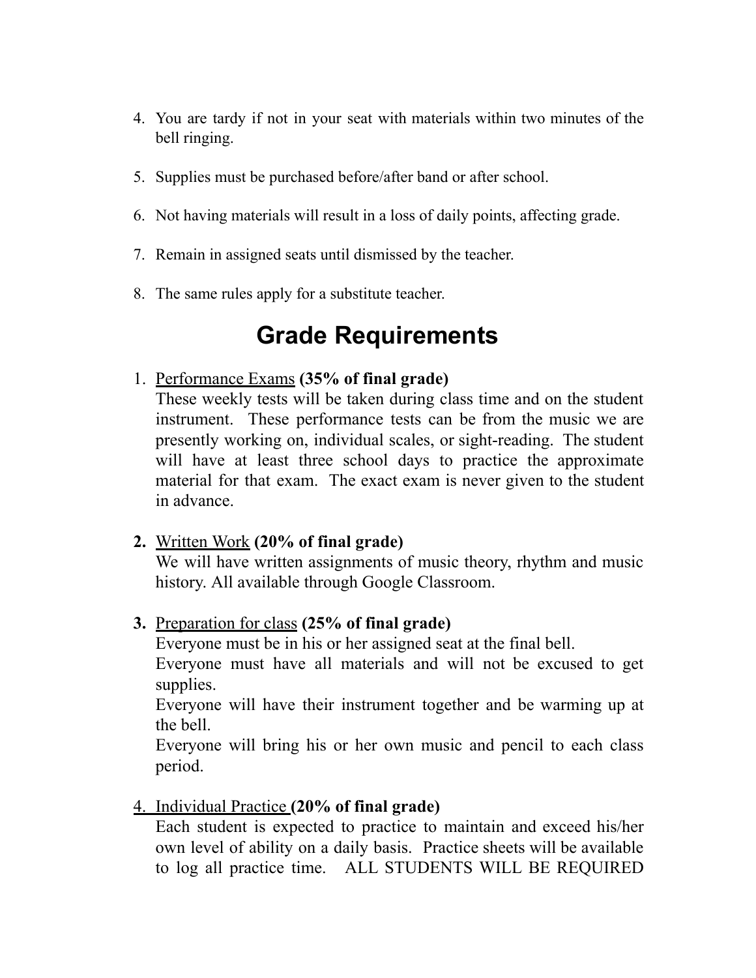- 4. You are tardy if not in your seat with materials within two minutes of the bell ringing.
- 5. Supplies must be purchased before/after band or after school.
- 6. Not having materials will result in a loss of daily points, affecting grade.
- 7. Remain in assigned seats until dismissed by the teacher.
- 8. The same rules apply for a substitute teacher.

# **Grade Requirements**

#### 1. Performance Exams **(35% of final grade)**

These weekly tests will be taken during class time and on the student instrument. These performance tests can be from the music we are presently working on, individual scales, or sight-reading. The student will have at least three school days to practice the approximate material for that exam. The exact exam is never given to the student in advance.

**2.** Written Work **(20% of final grade)**

We will have written assignments of music theory, rhythm and music history. All available through Google Classroom.

#### **3.** Preparation for class **(25% of final grade)**

Everyone must be in his or her assigned seat at the final bell. Everyone must have all materials and will not be excused to get supplies.

Everyone will have their instrument together and be warming up at the bell.

Everyone will bring his or her own music and pencil to each class period.

#### 4. Individual Practice **(20% of final grade)**

Each student is expected to practice to maintain and exceed his/her own level of ability on a daily basis. Practice sheets will be available to log all practice time. ALL STUDENTS WILL BE REQUIRED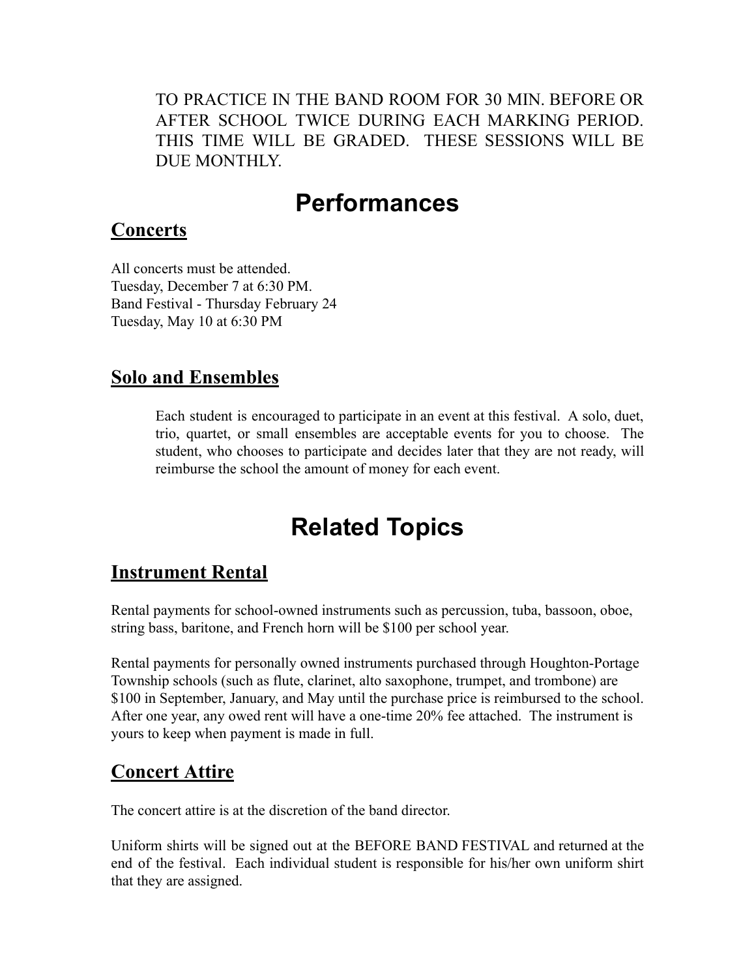TO PRACTICE IN THE BAND ROOM FOR 30 MIN. BEFORE OR AFTER SCHOOL TWICE DURING EACH MARKING PERIOD. THIS TIME WILL BE GRADED. THESE SESSIONS WILL BE DUE MONTHLY.

# **Performances**

### **Concerts**

All concerts must be attended. Tuesday, December 7 at 6:30 PM. Band Festival - Thursday February 24 Tuesday, May 10 at 6:30 PM

### **Solo and Ensembles**

Each student is encouraged to participate in an event at this festival. A solo, duet, trio, quartet, or small ensembles are acceptable events for you to choose. The student, who chooses to participate and decides later that they are not ready, will reimburse the school the amount of money for each event.

# **Related Topics**

## **Instrument Rental**

Rental payments for school-owned instruments such as percussion, tuba, bassoon, oboe, string bass, baritone, and French horn will be \$100 per school year.

Rental payments for personally owned instruments purchased through Houghton-Portage Township schools (such as flute, clarinet, alto saxophone, trumpet, and trombone) are \$100 in September, January, and May until the purchase price is reimbursed to the school. After one year, any owed rent will have a one-time 20% fee attached. The instrument is yours to keep when payment is made in full.

## **Concert Attire**

The concert attire is at the discretion of the band director.

Uniform shirts will be signed out at the BEFORE BAND FESTIVAL and returned at the end of the festival. Each individual student is responsible for his/her own uniform shirt that they are assigned.